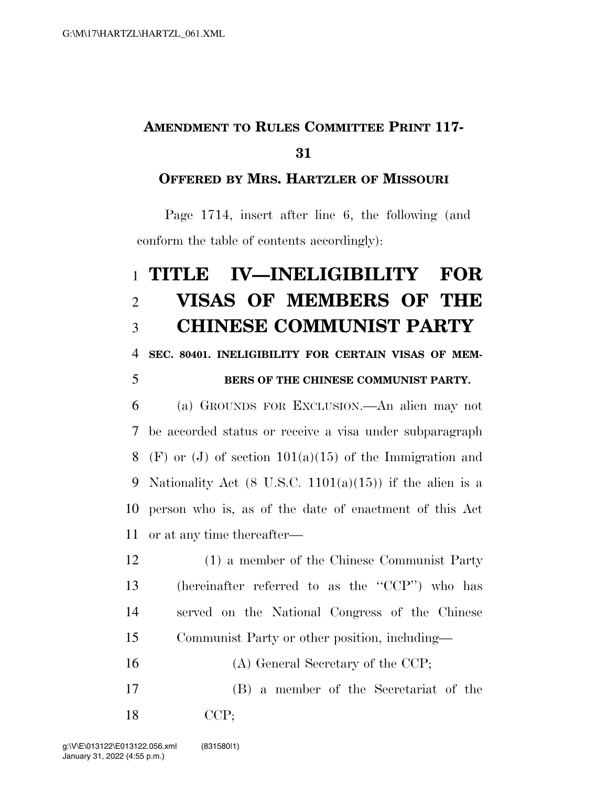# **AMENDMENT TO RULES COMMITTEE PRINT 117-**

## **OFFERED BY MRS. HARTZLER OF MISSOURI**

Page 1714, insert after line 6, the following (and conform the table of contents accordingly):

# **TITLE IV—INELIGIBILITY FOR VISAS OF MEMBERS OF THE CHINESE COMMUNIST PARTY**

#### **SEC. 80401. INELIGIBILITY FOR CERTAIN VISAS OF MEM-**

### **BERS OF THE CHINESE COMMUNIST PARTY.**

 (a) GROUNDS FOR EXCLUSION.—An alien may not be accorded status or receive a visa under subparagraph 8 (F) or (J) of section  $101(a)(15)$  of the Immigration and 9 Nationality Act  $(8 \text{ U.S.C. } 1101(a)(15))$  if the alien is a person who is, as of the date of enactment of this Act or at any time thereafter—

- (1) a member of the Chinese Communist Party (hereinafter referred to as the ''CCP'') who has served on the National Congress of the Chinese Communist Party or other position, including—
- (A) General Secretary of the CCP;
- (B) a member of the Secretariat of the CCP;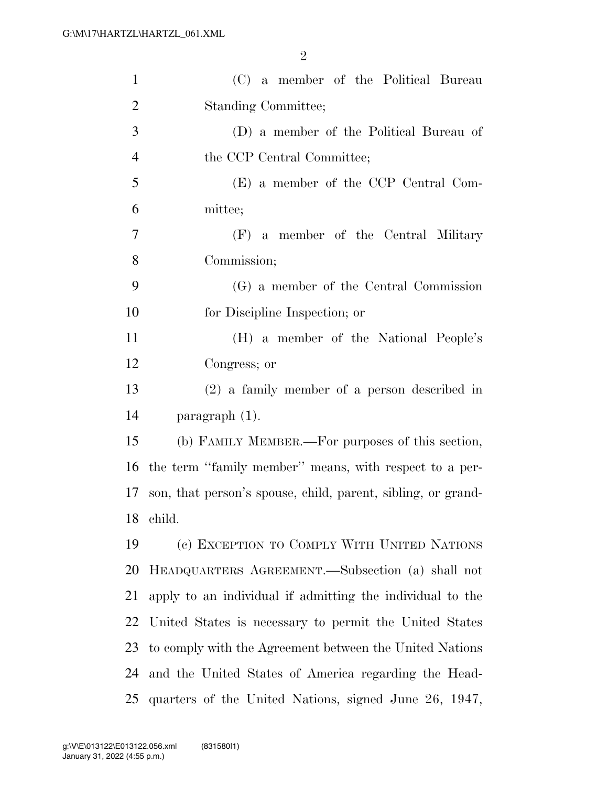| $\mathbf{1}$   | (C) a member of the Political Bureau                         |
|----------------|--------------------------------------------------------------|
| $\overline{2}$ | Standing Committee;                                          |
| 3              | (D) a member of the Political Bureau of                      |
| $\overline{4}$ | the CCP Central Committee;                                   |
| 5              | (E) a member of the CCP Central Com-                         |
| 6              | mittee;                                                      |
| $\tau$         | (F) a member of the Central Military                         |
| 8              | Commission;                                                  |
| 9              | (G) a member of the Central Commission                       |
| 10             | for Discipline Inspection; or                                |
| 11             | (H) a member of the National People's                        |
| 12             | Congress; or                                                 |
| 13             | $(2)$ a family member of a person described in               |
| 14             | paragraph $(1)$ .                                            |
| 15             | (b) FAMILY MEMBER.—For purposes of this section,             |
| 16             | the term "family member" means, with respect to a per-       |
| 17             | son, that person's spouse, child, parent, sibling, or grand- |
|                | 18 child.                                                    |
| 19             | (c) EXCEPTION TO COMPLY WITH UNITED NATIONS                  |
| 20             | HEADQUARTERS AGREEMENT.—Subsection (a) shall not             |
| 21             | apply to an individual if admitting the individual to the    |
| 22             | United States is necessary to permit the United States       |
| 23             | to comply with the Agreement between the United Nations      |
| 24             | and the United States of America regarding the Head-         |
| 25             | quarters of the United Nations, signed June 26, 1947,        |